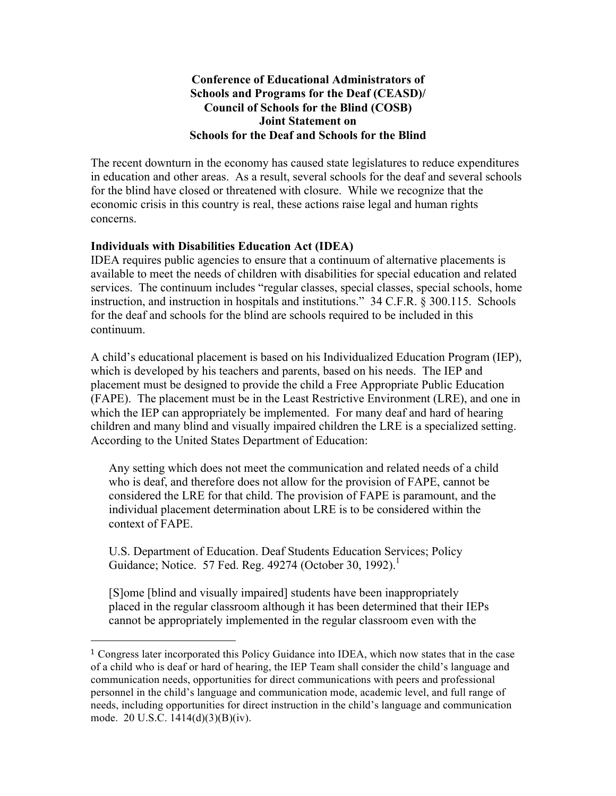## **Conference of Educational Administrators of Schools and Programs for the Deaf (CEASD)/ Council of Schools for the Blind (COSB) Joint Statement on Schools for the Deaf and Schools for the Blind**

The recent downturn in the economy has caused state legislatures to reduce expenditures in education and other areas. As a result, several schools for the deaf and several schools for the blind have closed or threatened with closure. While we recognize that the economic crisis in this country is real, these actions raise legal and human rights concerns.

## **Individuals with Disabilities Education Act (IDEA)**

!!!!!!!!!!!!!!!!!!!!!!!!!!!!!!!!!!!!!!!!!!!!!!!!!!!!!!!

IDEA requires public agencies to ensure that a continuum of alternative placements is available to meet the needs of children with disabilities for special education and related services. The continuum includes "regular classes, special classes, special schools, home instruction, and instruction in hospitals and institutions." 34 C.F.R. § 300.115. Schools for the deaf and schools for the blind are schools required to be included in this continuum.

A child's educational placement is based on his Individualized Education Program (IEP), which is developed by his teachers and parents, based on his needs. The IEP and placement must be designed to provide the child a Free Appropriate Public Education (FAPE). The placement must be in the Least Restrictive Environment (LRE), and one in which the IEP can appropriately be implemented. For many deaf and hard of hearing children and many blind and visually impaired children the LRE is a specialized setting. According to the United States Department of Education:

Any setting which does not meet the communication and related needs of a child who is deaf, and therefore does not allow for the provision of FAPE, cannot be considered the LRE for that child. The provision of FAPE is paramount, and the individual placement determination about LRE is to be considered within the context of FAPE.

U.S. Department of Education. Deaf Students Education Services; Policy Guidance; Notice. 57 Fed. Reg. 49274 (October 30, 1992).<sup>1</sup>

[S]ome [blind and visually impaired] students have been inappropriately placed in the regular classroom although it has been determined that their IEPs cannot be appropriately implemented in the regular classroom even with the

 $1$  Congress later incorporated this Policy Guidance into IDEA, which now states that in the case of a child who is deaf or hard of hearing, the IEP Team shall consider the child's language and communication needs, opportunities for direct communications with peers and professional personnel in the child's language and communication mode, academic level, and full range of needs, including opportunities for direct instruction in the child's language and communication mode. 20 U.S.C. 1414(d)(3)(B)(iv).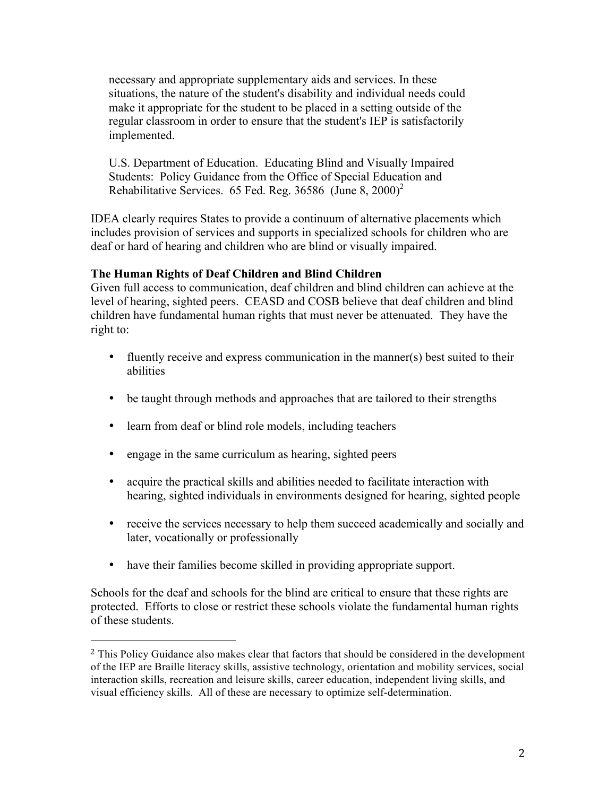necessary and appropriate supplementary aids and services. In these situations, the nature of the student's disability and individual needs could make it appropriate for the student to be placed in a setting outside of the regular classroom in order to ensure that the student's IEP is satisfactorily implemented.

U.S. Department of Education. Educating Blind and Visually Impaired Students: Policy Guidance from the Office of Special Education and Rehabilitative Services. 65 Fed. Reg.  $36586$  (June 8,  $2000$ )<sup>2</sup>

IDEA clearly requires States to provide a continuum of alternative placements which includes provision of services and supports in specialized schools for children who are deaf or hard of hearing and children who are blind or visually impaired.

## **The Human Rights of Deaf Children and Blind Children**

Given full access to communication, deaf children and blind children can achieve at the level of hearing, sighted peers. CEASD and COSB believe that deaf children and blind children have fundamental human rights that must never be attenuated. They have the right to:

- fluently receive and express communication in the manner(s) best suited to their abilities
- be taught through methods and approaches that are tailored to their strengths
- learn from deaf or blind role models, including teachers
- engage in the same curriculum as hearing, sighted peers

!!!!!!!!!!!!!!!!!!!!!!!!!!!!!!!!!!!!!!!!!!!!!!!!!!!!!!!

- acquire the practical skills and abilities needed to facilitate interaction with hearing, sighted individuals in environments designed for hearing, sighted people
- receive the services necessary to help them succeed academically and socially and later, vocationally or professionally
- have their families become skilled in providing appropriate support.

Schools for the deaf and schools for the blind are critical to ensure that these rights are protected. Efforts to close or restrict these schools violate the fundamental human rights of these students.

<sup>&</sup>lt;sup>2</sup> This Policy Guidance also makes clear that factors that should be considered in the development of the IEP are Braille literacy skills, assistive technology, orientation and mobility services, social interaction skills, recreation and leisure skills, career education, independent living skills, and visual efficiency skills. All of these are necessary to optimize self-determination.